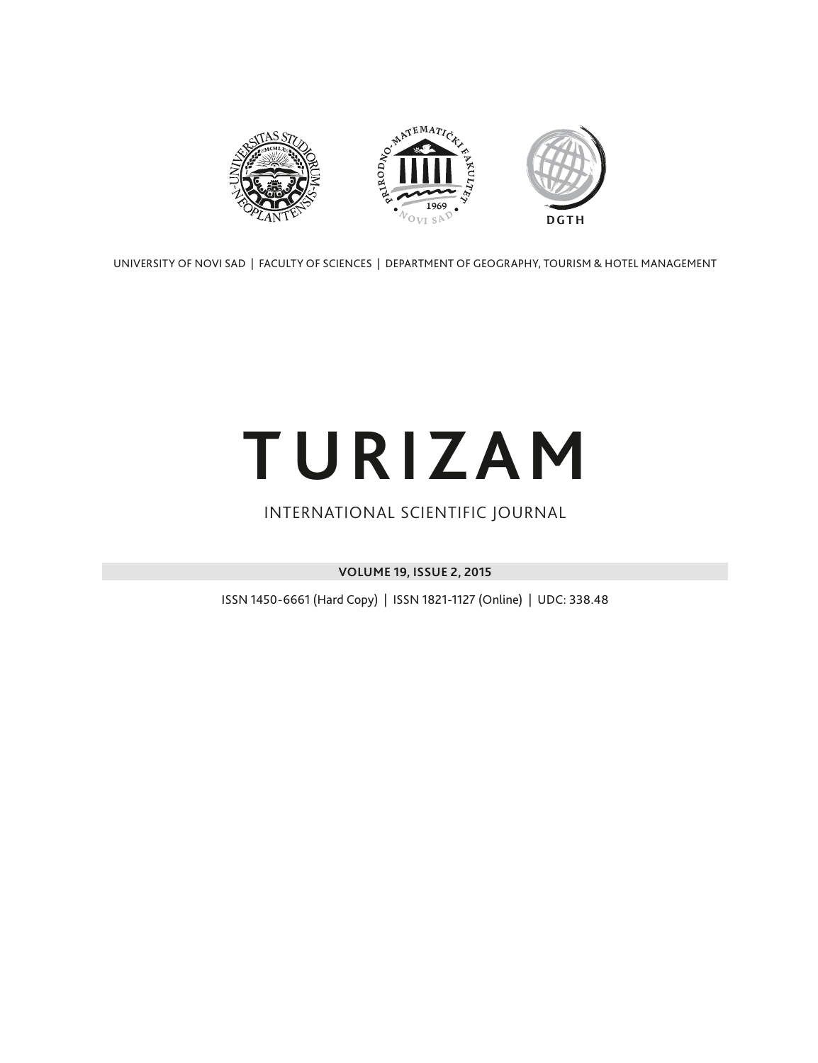

UNIVERSITY OF NOVI SAD | FACULTY OF SCIENCES | DEPARTMENT OF GEOGRAPHY, TOURISM & HOTEL MANAGEMENT

# **TURIZAM**

### INTERNATIONAL SCIENTIFIC JOURNAL

**VOLUME 19, ISSUE 2, 2015**

ISSN 1450-6661 (Hard Copy) | ISSN 1821-1127 (Online) | UDC: 338.48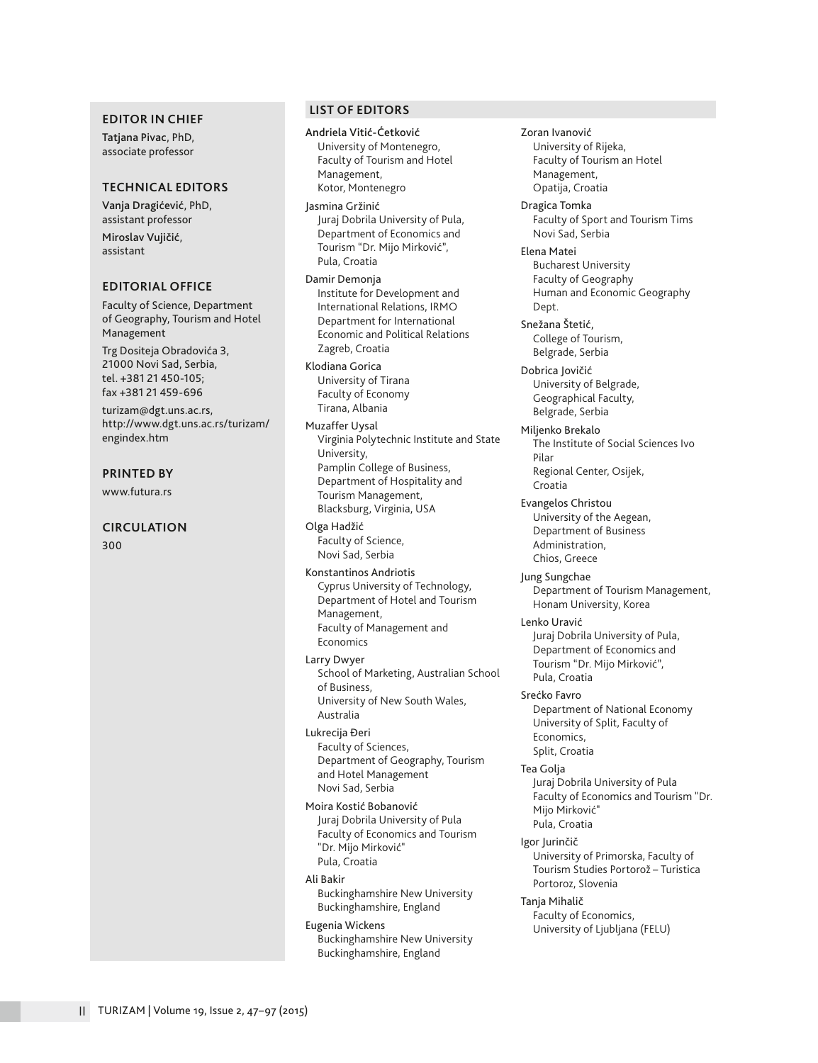#### **EDITOR IN CHIEF**

Tatjana Pivac, PhD, associate professor

#### **TECHNICAL EDITORS**

Vanja Dragićević, PhD, assistant professor Miroslav Vujičić,

assistant

#### **EDITORIAL OFFICE**

Faculty of Science, Department of Geography, Tourism and Hotel Management

Trg Dositeja Obradovića 3, 21000 Novi Sad, Serbia, tel. +381 21 450-105; fax +381 21 459-696

turizam@dgt.uns.ac.rs, http://www.dgt.uns.ac.rs/turizam/ engindex.htm

#### **PRINTED BY**

www.futura.rs

#### **CIRCULATION**

300

#### **LIST OF EDITORS**

Andriela Vitić-Ćetković University of Montenegro, Faculty of Tourism and Hotel Management, Kotor, Montenegro

Jasmina Gržinić Juraj Dobrila University of Pula, Department of Economics and Tourism "Dr. Mijo Mirković", Pula, Croatia

Damir Demonja Institute for Development and International Relations, IRMO Department for International Economic and Political Relations Zagreb, Croatia

Klodiana Gorica University of Tirana Faculty of Economy Tirana, Albania

Muzaffer Uysal Virginia Polytechnic Institute and State University, Pamplin College of Business, Department of Hospitality and Tourism Management, Blacksburg, Virginia, USA

Olga Hadžić Faculty of Science, Novi Sad, Serbia

Konstantinos Andriotis Cyprus University of Technology, Department of Hotel and Tourism Management, Faculty of Management and Economics

Larry Dwyer School of Marketing, Australian School of Business, University of New South Wales, Australia

Lukrecija Đeri Faculty of Sciences, Department of Geography, Tourism and Hotel Management Novi Sad, Serbia

Moira Kostić Bobanović Juraj Dobrila University of Pula Faculty of Economics and Tourism "Dr. Mijo Mirković" Pula, Croatia

Ali Bakir

Buckinghamshire New University Buckinghamshire, England

#### Eugenia Wickens

Buckinghamshire New University Buckinghamshire, England

University of Rijeka, Faculty of Tourism an Hotel Management, Opatija, Croatia Dragica Tomka Faculty of Sport and Tourism Tims Novi Sad, Serbia Elena Matei Bucharest University Faculty of Geography Human and Economic Geography Dept. Snežana Štetić, College of Tourism, Belgrade, Serbia Dobrica Jovičić University of Belgrade, Geographical Faculty, Belgrade, Serbia Miljenko Brekalo The Institute of Social Sciences Ivo Pilar Regional Center, Osijek, Croatia Evangelos Christou University of the Aegean, Department of Business Administration, Chios, Greece Jung Sungchae Department of Tourism Management, Honam University, Korea Lenko Uravić Juraj Dobrila University of Pula, Department of Economics and Tourism "Dr. Mijo Mirković", Pula, Croatia Srećko Favro Department of National Economy University of Split, Faculty of Economics, Split, Croatia Tea Golja Juraj Dobrila University of Pula Faculty of Economics and Tourism "Dr. Mijo Mirković" Pula, Croatia Igor Jurinčič

Zoran Ivanović

University of Primorska, Faculty of Tourism Studies Portorož – Turistica Portoroz, Slovenia

Tanja Mihalič Faculty of Economics, University of Ljubljana (FELU)